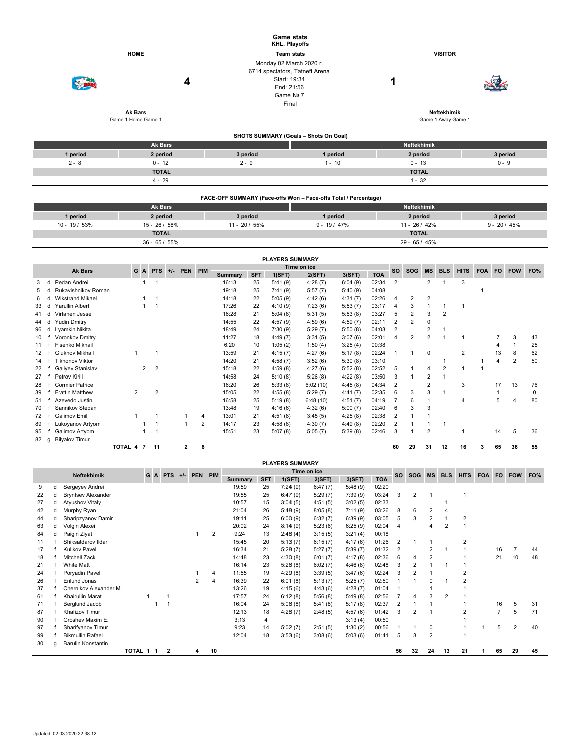|          |                                      |                                                                                                      | <b>Game stats</b><br>KHL. Playoffs    |                     |          |  |  |  |  |  |  |
|----------|--------------------------------------|------------------------------------------------------------------------------------------------------|---------------------------------------|---------------------|----------|--|--|--|--|--|--|
|          | <b>HOME</b>                          |                                                                                                      | <b>Team stats</b>                     | <b>VISITOR</b>      |          |  |  |  |  |  |  |
|          | 4                                    | Monday 02 March 2020 r.<br>6714 spectators, Tatneft Arena<br>Start: 19:34<br>End: 21:56<br>Game Nº 7 | Final                                 | 1                   |          |  |  |  |  |  |  |
|          | <b>Ak Bars</b><br>Game 1 Home Game 1 |                                                                                                      | Neftekhimik<br>Game 1 Away Game 1     |                     |          |  |  |  |  |  |  |
|          |                                      |                                                                                                      | SHOTS SUMMARY (Goals - Shots On Goal) |                     |          |  |  |  |  |  |  |
|          | Ak Bars                              |                                                                                                      |                                       | Neftekhimik         |          |  |  |  |  |  |  |
| 1 period | 2 period                             | 3 period                                                                                             | 1 period                              | 2 period            | 3 period |  |  |  |  |  |  |
| $2 - 8$  | $0 - 12$                             | $2 - 9$                                                                                              | $1 - 10$                              | $0 - 13$<br>$0 - 9$ |          |  |  |  |  |  |  |
|          | <b>TOTAL</b>                         |                                                                                                      |                                       | <b>TOTAL</b>        |          |  |  |  |  |  |  |
|          | $4 - 29$                             |                                                                                                      |                                       | $1 - 32$            |          |  |  |  |  |  |  |
|          |                                      |                                                                                                      |                                       |                     |          |  |  |  |  |  |  |

|               | FACE-OFF SUMMARY (Face-offs Won - Face-offs Total / Percentage) |                 |                    |               |                |  |  |  |  |  |  |  |  |  |
|---------------|-----------------------------------------------------------------|-----------------|--------------------|---------------|----------------|--|--|--|--|--|--|--|--|--|
|               | <b>Ak Bars</b>                                                  |                 | <b>Neftekhimik</b> |               |                |  |  |  |  |  |  |  |  |  |
| 1 period      | 2 period                                                        | 3 period        | 1 period           | 2 period      | 3 period       |  |  |  |  |  |  |  |  |  |
| $10 - 19/53%$ | $15 - 26/58%$                                                   | $11 - 20 / 55%$ | $9 - 19 / 47%$     | $11 - 26/42%$ | $9 - 20 / 45%$ |  |  |  |  |  |  |  |  |  |
|               | <b>TOTAL</b>                                                    |                 |                    | <b>TOTAL</b>  |                |  |  |  |  |  |  |  |  |  |
|               | $36 - 65 / 55%$                                                 |                 |                    | $29 - 65/45%$ |                |  |  |  |  |  |  |  |  |  |

|                                                                                 | <b>PLAYERS SUMMARY</b> |                         |           |   |                |  |   |   |                |            |         |           |            |            |                |                |                |                |                |     |    |                |    |
|---------------------------------------------------------------------------------|------------------------|-------------------------|-----------|---|----------------|--|---|---|----------------|------------|---------|-----------|------------|------------|----------------|----------------|----------------|----------------|----------------|-----|----|----------------|----|
| Time on ice<br>PIM<br><b>Ak Bars</b><br>GA<br><b>PTS</b><br><b>PEN</b><br>$+/-$ |                        |                         |           |   |                |  |   |   |                |            |         | <b>SO</b> | <b>SOG</b> | <b>MS</b>  | <b>BLS</b>     | <b>HITS</b>    | <b>FOA</b>     | FO.            | <b>FOW</b>     | FO% |    |                |    |
|                                                                                 |                        |                         |           |   |                |  |   |   | <b>Summary</b> | <b>SFT</b> | 1(SFT)  | 2(SFT)    | 3(SFT)     | <b>TOA</b> |                |                |                |                |                |     |    |                |    |
| 3                                                                               |                        | Pedan Andrei            |           | 1 |                |  |   |   | 16:13          | 25         | 5:41(9) | 4:28(7)   | 6:04(9)    | 02:34      | $\overline{2}$ |                | 2              |                | 3              |     |    |                |    |
|                                                                                 |                        | Rukavishnikov Roman     |           |   |                |  |   |   | 19:18          | 25         | 7:41(9) | 5:57(7)   | 5:40(9)    | 04:08      |                |                |                |                |                |     |    |                |    |
| 6                                                                               |                        | <b>Wikstrand Mikael</b> |           |   |                |  |   |   | 14:18          | 22         | 5:05(9) | 4:42(6)   | 4:31(7)    | 02:26      | 4              | 2              | 2              |                |                |     |    |                |    |
| 33                                                                              |                        | Yarullin Albert         |           |   |                |  |   |   | 17:26          | 22         | 4:10(9) | 7:23(6)   | 5:53(7)    | 03:17      | 4              | 3              |                |                |                |     |    |                |    |
| 41                                                                              |                        | Virtanen Jesse          |           |   |                |  |   |   | 16:28          | 21         | 5:04(8) | 5:31(5)   | 5:53(8)    | 03:27      | 5              | $\overline{2}$ | 3              | $\overline{2}$ |                |     |    |                |    |
| 44                                                                              |                        | <b>Yudin Dmitry</b>     |           |   |                |  |   |   | 14:55          | 22         | 4:57(9) | 4:59(6)   | 4:59(7)    | 02:11      |                | 2              | 0              |                |                |     |    |                |    |
| 96                                                                              | d                      | Lyamkin Nikita          |           |   |                |  |   |   | 18:49          | 24         | 7:30(9) | 5:29(7)   | 5:50(8)    | 04:03      | 2              |                | $\overline{2}$ |                |                |     |    |                |    |
| 10                                                                              |                        | Voronkov Dmitry         |           |   |                |  |   |   | 11:27          | 18         | 4:49(7) | 3:31(5)   | 3:07(6)    | 02:01      |                | 2              |                |                |                |     |    | 3              | 43 |
| 11                                                                              |                        | Fisenko Mikhail         |           |   |                |  |   |   | 6:20           | 10         | 1:05(2) | 1:50(4)   | 3:25(4)    | 00:38      |                |                |                |                |                |     |    |                | 25 |
| 12                                                                              |                        | Glukhov Mikhail         |           |   |                |  |   |   | 13:59          | 21         | 4:15(7) | 4:27(6)   | 5:17(8)    | 02:24      |                |                | $\mathbf 0$    |                | 2              |     | 13 | 8              | 62 |
| 14                                                                              |                        | <b>Tikhonov Viktor</b>  |           |   |                |  |   |   | 14:20          | 21         | 4:58(7) | 3:52(6)   | 5:30(8)    | 03:10      |                |                |                |                |                |     | 4  | $\overline{2}$ | 50 |
| 22                                                                              |                        | Galiyev Stanislav       |           | 2 | $\overline{2}$ |  |   |   | 15:18          | 22         | 4:59(8) | 4:27(6)   | 5:52(8)    | 02:52      | 5              |                | 4              | 2              |                |     |    |                |    |
| 27                                                                              |                        | Petrov Kirill           |           |   |                |  |   |   | 14:58          | 24         | 5:10(8) | 5:26(8)   | 4:22(8)    | 03:50      | 3              |                | $\overline{2}$ |                |                |     |    |                |    |
| 28                                                                              |                        | <b>Cormier Patrice</b>  |           |   |                |  |   |   | 16:20          | 26         | 5:33(8) | 6:02(10)  | 4:45(8)    | 04:34      | 2              |                | 2              |                | 3              |     | 17 | 13             | 76 |
| 39                                                                              |                        | <b>Frattin Matthew</b>  | 2         |   | $\overline{2}$ |  |   |   | 15:05          | 22         | 4:55(8) | 5:29(7)   | 4:41(7)    | 02:35      | 6              | 3              | 3              |                |                |     |    |                | 0  |
| 51                                                                              |                        | Azevedo Justin          |           |   |                |  |   |   | 16:58          | 25         | 5:19(8) | 6:48(10)  | 4:51(7)    | 04:19      |                | 6              |                |                | $\overline{4}$ |     | 5  |                | 80 |
| 70                                                                              |                        | Sannikov Stepan         |           |   |                |  |   |   | 13:48          | 19         | 4:16(6) | 4:32(6)   | 5:00(7)    | 02:40      | 6              | 3              | 3              |                |                |     |    |                |    |
| 72                                                                              |                        | Galimov Emil            |           |   |                |  |   | 4 | 13:01          | 21         | 4:51(8) | 3:45(5)   | 4:25(8)    | 02:38      | 2              |                |                |                |                |     |    |                |    |
| 89                                                                              |                        | Lukoyanov Artyom        |           |   |                |  |   | 2 | 14:17          | 23         | 4:58(8) | 4:30(7)   | 4:49(8)    | 02:20      | $\overline{2}$ |                |                |                |                |     |    |                |    |
| 95                                                                              |                        | Galimov Artyom          |           | 1 |                |  |   |   | 15:51          | 23         | 5:07(8) | 5:05(7)   | 5:39(8)    | 02:46      | 3              |                | $\overline{2}$ |                |                |     | 14 | 5              | 36 |
| 82                                                                              | a                      | <b>Bilyalov Timur</b>   |           |   |                |  |   |   |                |            |         |           |            |            |                |                |                |                |                |     |    |                |    |
|                                                                                 |                        |                         | TOTAL 4 7 |   | 11             |  | 2 | 6 |                |            |         |           |            |            | 60             | 29             | 31             | 12             | 16             | 3   | 65 | 36             | 55 |

|    |   |                           |           |    |              |       |         |    |                |            | <b>PLAYERS SUMMARY</b> |             |         |            |           |                |                |            |             |            |                |            |     |
|----|---|---------------------------|-----------|----|--------------|-------|---------|----|----------------|------------|------------------------|-------------|---------|------------|-----------|----------------|----------------|------------|-------------|------------|----------------|------------|-----|
|    |   | Neftekhimik               |           | GA | <b>PTS</b>   | $+/-$ | PEN PIM |    |                |            |                        | Time on ice |         |            | <b>SO</b> | <b>SOG</b>     | <b>MS</b>      | <b>BLS</b> | <b>HITS</b> | <b>FOA</b> | <b>FO</b>      | <b>FOW</b> | FO% |
|    |   |                           |           |    |              |       |         |    | <b>Summary</b> | <b>SFT</b> | 1(SFT)                 | 2(SFT)      | 3(SFT)  | <b>TOA</b> |           |                |                |            |             |            |                |            |     |
| 9  | d | Sergeyev Andrei           |           |    |              |       |         |    | 19:59          | 25         | 7:24(9)                | 6:47(7)     | 5:48(9) | 02:20      |           |                |                |            |             |            |                |            |     |
| 22 | d | <b>Bryntsev Alexander</b> |           |    |              |       |         |    | 19:55          | 25         | 6:47(9)                | 5:29(7)     | 7:39(9) | 03:24      | 3         | $\overline{2}$ |                |            |             |            |                |            |     |
| 27 | d | <b>Atyushov Vitaly</b>    |           |    |              |       |         |    | 10:57          | 15         | 3:04(5)                | 4:51(5)     | 3:02(5) | 02:33      |           |                |                |            |             |            |                |            |     |
| 42 | d | Murphy Ryan               |           |    |              |       |         |    | 21:04          | 26         | 5:48(9)                | 8:05(8)     | 7:11(9) | 03:26      | 8         | 6              | 2              |            |             |            |                |            |     |
| 44 | d | Sharipzyanov Damir        |           |    |              |       |         |    | 19:11          | 25         | 6:00(9)                | 6:32(7)     | 6:39(9) | 03:05      | 5         | 3              | 2              |            | 2           |            |                |            |     |
| 63 | d | Volgin Alexei             |           |    |              |       |         |    | 20:02          | 24         | 8:14(9)                | 5:23(6)     | 6:25(9) | 02:04      | 4         |                | 4              | 2          |             |            |                |            |     |
| 84 | d | Paigin Ziyat              |           |    |              |       |         | 2  | 9:24           | 13         | 2:48(4)                | 3:15(5)     | 3:21(4) | 00:18      |           |                |                |            |             |            |                |            |     |
| 11 |   | Shiksatdarov Ildar        |           |    |              |       |         |    | 15:45          | 20         | 5:13(7)                | 6:15(7)     | 4:17(6) | 01:26      | 2         |                |                |            | 2           |            |                |            |     |
| 17 |   | <b>Kulikov Pavel</b>      |           |    |              |       |         |    | 16:34          | 21         | 5:28(7)                | 5:27(7)     | 5:39(7) | 01:32      | 2         |                | $\overline{2}$ |            |             |            | 16             |            | 44  |
| 18 |   | <b>Mitchell Zack</b>      |           |    |              |       |         |    | 14:48          | 23         | 4:30(8)                | 6:01(7)     | 4:17(8) | 02:36      | 6         |                | $\overline{2}$ |            |             |            | 21             | 10         | 48  |
| 21 |   | <b>White Matt</b>         |           |    |              |       |         |    | 16:14          | 23         | 5:26(8)                | 6:02(7)     | 4:46(8) | 02:48      | 3         | $\overline{2}$ |                |            |             |            |                |            |     |
| 24 |   | Poryadin Pavel            |           |    |              |       |         | 4  | 11:55          | 19         | 4:29(8)                | 3:39(5)     | 3:47(6) | 02:24      | 3         | 2              |                |            |             |            |                |            |     |
| 26 |   | Enlund Jonas              |           |    |              |       | 2       | 4  | 16:39          | 22         | 6:01(8)                | 5:13(7)     | 5:25(7) | 02:50      |           |                | $\Omega$       |            | 2           |            |                |            |     |
| 37 |   | Chernikov Alexander M.    |           |    |              |       |         |    | 13:26          | 19         | 4:15(6)                | 4:43(6)     | 4:28(7) | 01:04      |           |                |                |            |             |            |                |            |     |
| 61 |   | Khairullin Marat          |           |    |              |       |         |    | 17:57          | 24         | 6:12(8)                | 5:56(8)     | 5:49(8) | 02:56      |           | 4              | 3              | 2          |             |            |                |            |     |
| 71 |   | Berglund Jacob            |           |    |              |       |         |    | 16:04          | 24         | 5:06(8)                | 5:41(8)     | 5:17(8) | 02:37      | 2         |                |                |            |             |            | 16             | 5          | 31  |
| 87 |   | Khafizov Timur            |           |    |              |       |         |    | 12:13          | 18         | 4:28(7)                | 2:48(5)     | 4:57(6) | 01:42      | 3         | $\overline{2}$ |                |            | 2           |            | $\overline{7}$ | 5          | 71  |
| 90 |   | Groshev Maxim E.          |           |    |              |       |         |    | 3:13           | 4          |                        |             | 3:13(4) | 00:50      |           |                |                |            |             |            |                |            |     |
| 97 |   | Sharifyanov Timur         |           |    |              |       |         |    | 9:23           | 14         | 5:02(7)                | 2:51(5)     | 1:30(2) | 00:56      |           |                | 0              |            |             |            | 5              | 2          | 40  |
| 99 |   | <b>Bikmullin Rafael</b>   |           |    |              |       |         |    | 12:04          | 18         | 3:53(6)                | 3:08(6)     | 5:03(6) | 01:41      | 5         | 3              | $\overline{2}$ |            |             |            |                |            |     |
| 30 | g | Barulin Konstantin        |           |    |              |       |         |    |                |            |                        |             |         |            |           |                |                |            |             |            |                |            |     |
|    |   |                           | TOTAL 1 1 |    | $\mathbf{2}$ |       | 4       | 10 |                |            |                        |             |         |            | 56        | 32             | 24             | 13         | 21          |            | 65             | 29         | 45  |